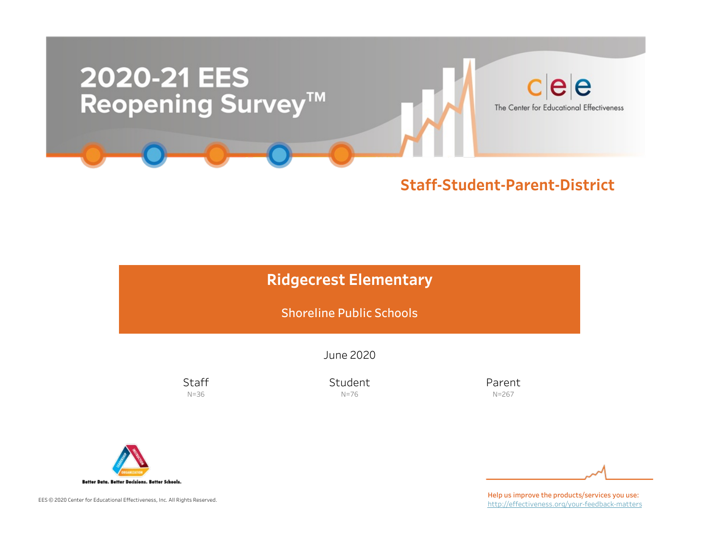

### Staff-Student-Parent-District

# **Ridgecrest Elementary**

Shoreline Public Schools

June2020

**Staff** N=36

Student N=76

Parent N=267



EES © 2020 Center for Educational Effectiveness, Inc. All Rights Reserved.

Help us improve the products/services you use: http://effectiveness.org/your-feedback-matters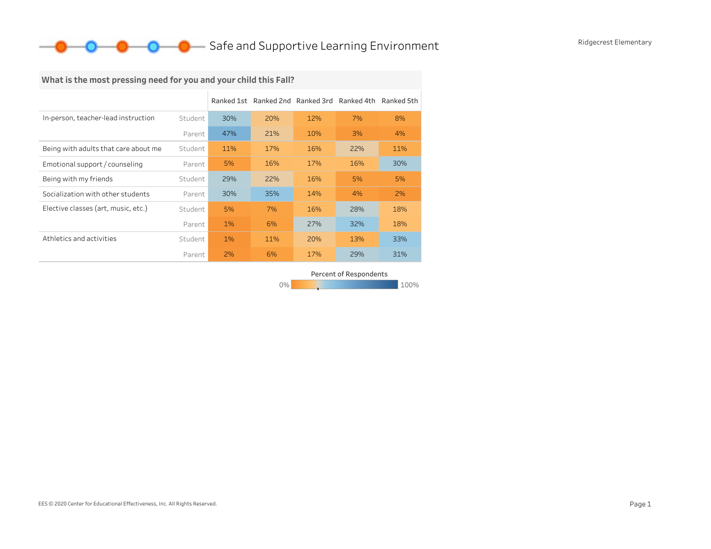## **O** Safe and Supportive Learning Environment Ridgecrest Elementary

# What is the most pressing need for you and your child this Fall?

|                                      |         |       | Ranked 1st Ranked 2nd Ranked 3rd Ranked 4th Ranked 5th |     |     |     |
|--------------------------------------|---------|-------|--------------------------------------------------------|-----|-----|-----|
| In-person, teacher-lead instruction  | Student | 30%   | 20%                                                    | 12% | 7%  | 8%  |
|                                      | Parent  | 47%   | 21%                                                    | 10% | 3%  | 4%  |
| Being with adults that care about me | Student | 11%   | 17%                                                    | 16% | 22% | 11% |
| Emotional support / counseling       | Parent  | 5%    | 16%                                                    | 17% | 16% | 30% |
| Being with my friends                | Student | 29%   | 22%                                                    | 16% | 5%  | 5%  |
| Socialization with other students    | Parent  | 30%   | 35%                                                    | 14% | 4%  | 2%  |
| Elective classes (art, music, etc.)  | Student | 5%    | 7%                                                     | 16% | 28% | 18% |
|                                      | Parent  | 1%    | 6%                                                     | 27% | 32% | 18% |
| Athletics and activities             | Student | $1\%$ | 11%                                                    | 20% | 13% | 33% |
|                                      | Parent  | 2%    | 6%                                                     | 17% | 29% | 31% |

0% 100% 100% 100% 100% Percent of Respondents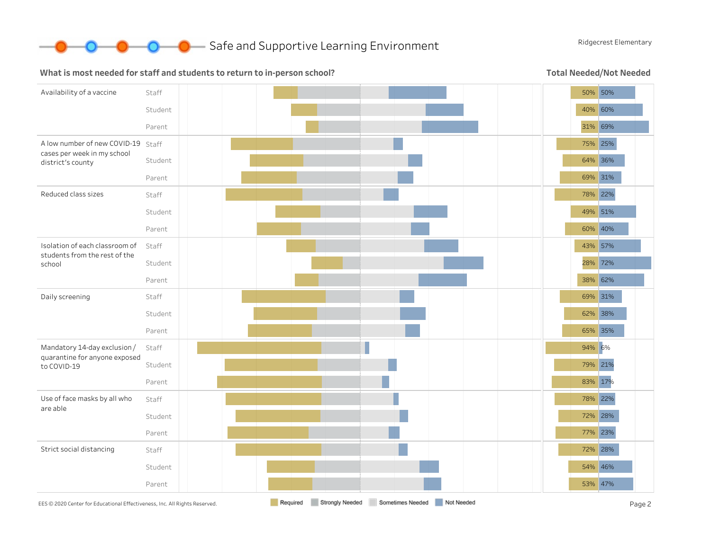

**O** Safe and Supportive Learning Environment Ridgecrest Elementary

#### What is most needed for staff and students to return to in-person school?

Total Needed/Not Needed

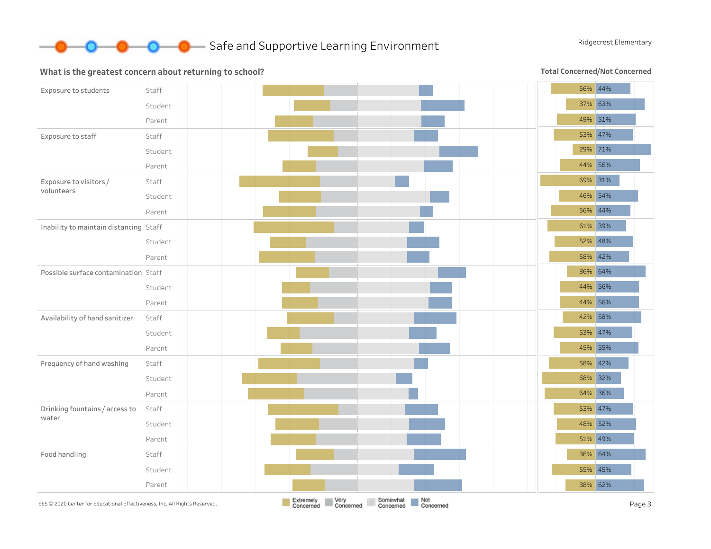

#### What is the greatest concern about returning to school?

Total Concerned/Not Concerned

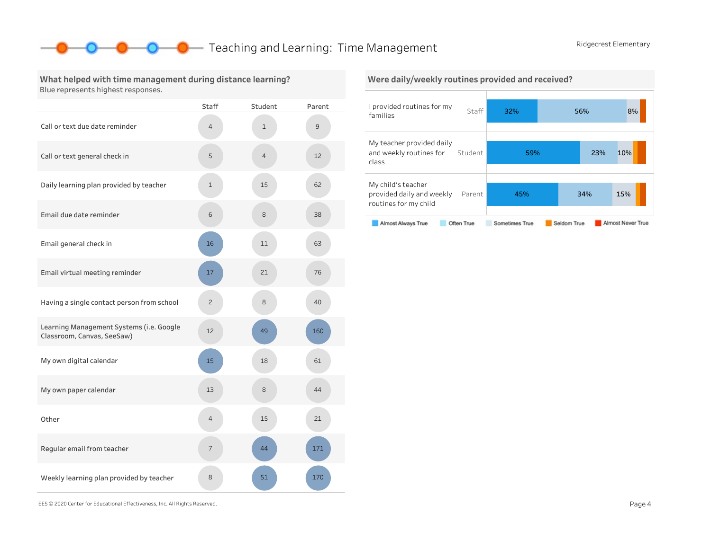### **O** Teaching and Learning: Time Management Ridgecrest Elementary

#### What helped with time management during distance learning? Blue represents highest responses.

|                                                                        | Staff          | Student        | Parent |
|------------------------------------------------------------------------|----------------|----------------|--------|
| Call or text due date reminder                                         | 4              | $\mathbf{1}$   | 9      |
| Call or text general check in                                          | 5              | $\overline{4}$ | 12     |
| Daily learning plan provided by teacher                                | $\mathbf 1$    | 15             | 62     |
| Email due date reminder                                                | 6              | 8              | 38     |
| Email general check in                                                 | 16             | 11             | 63     |
| Email virtual meeting reminder                                         | 17             | 21             | 76     |
| Having a single contact person from school                             | $\overline{c}$ | 8              | 40     |
| Learning Management Systems (i.e. Google<br>Classroom, Canvas, SeeSaw) | 12             | 49             | 160    |
| My own digital calendar                                                | 15             | 18             | 61     |
| My own paper calendar                                                  | 13             | 8              | 44     |
| Other                                                                  | $\overline{4}$ | 15             | 21     |
| Regular email from teacher                                             | 7              | 44             | 171    |
| Weekly learning plan provided by teacher                               | 8              | 51             | 170    |



EES©2020CenterforEducationalEffectiveness,Inc.AllRightsReserved. Page4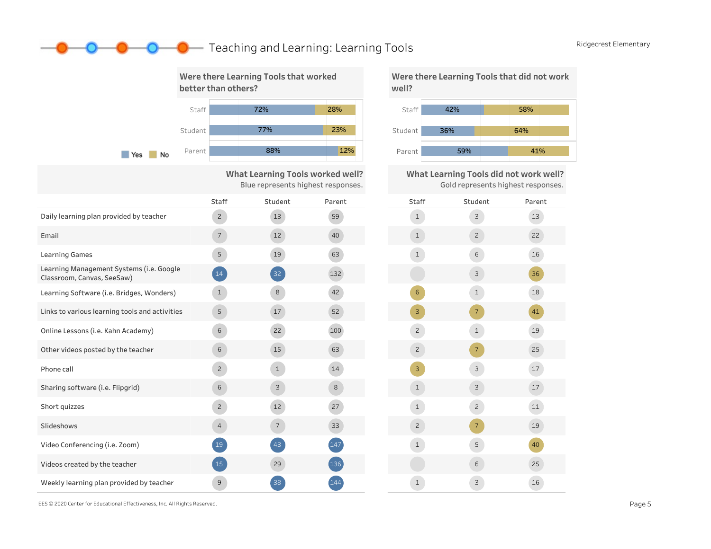## **O** Teaching and Learning: Learning Tools Ridgecrest Elementary



What Learning Tools worked well? Blue represents highest responses.

|                                                                        | Staff          | Student         | Parent | Stat           |
|------------------------------------------------------------------------|----------------|-----------------|--------|----------------|
| Daily learning plan provided by teacher                                | $\overline{c}$ | 13              | 59     | $\mathbf{1}$   |
| Email                                                                  | $\overline{7}$ | 12 <sup>2</sup> | 40     | $\mathbf{1}$   |
| <b>Learning Games</b>                                                  | 5              | 19              | 63     | $\mathbf{1}$   |
| Learning Management Systems (i.e. Google<br>Classroom, Canvas, SeeSaw) | 14             | 32              | 132    |                |
| Learning Software (i.e. Bridges, Wonders)                              | $\mathbf{1}$   | 8               | 42     | $6\phantom{a}$ |
| Links to various learning tools and activities                         | 5              | 17              | 52     | 3              |
| Online Lessons (i.e. Kahn Academy)                                     | 6              | 22              | 100    | $\overline{c}$ |
| Other videos posted by the teacher                                     | 6              | 15              | 63     | $\overline{c}$ |
| Phone call                                                             | $\overline{c}$ | $\mathbf{1}$    | 14     | 3              |
| Sharing software (i.e. Flipgrid)                                       | 6              | 3               | 8      | $\mathbf{1}$   |
| Short quizzes                                                          | $\overline{c}$ | 12              | 27     | $\mathbf{1}$   |
| Slideshows                                                             | $\overline{4}$ | $7\overline{ }$ | 33     | $\overline{c}$ |
| Video Conferencing (i.e. Zoom)                                         | 19             | 43              | 147    | $\mathbf{1}$   |
| Videos created by the teacher                                          | 15             | 29              | (136)  |                |
| Weekly learning plan provided by teacher                               | $\overline{9}$ | 38              | 144    | $\mathbf{1}$   |





What Learning Tools did not work well? Gold represents highest responses.

| Staff          | Student        | Parent |
|----------------|----------------|--------|
| $\mathbf{1}$   | 3              | 13     |
| $\mathbf 1$    | $\overline{c}$ | 22     |
| $\mathbf 1$    | 6              | 16     |
|                | 3              | 36     |
| 6              | $\mathbf{1}$   | $18\,$ |
| 3              | $\overline{7}$ | 41     |
| $\overline{c}$ | $\mathbf{1}$   | 19     |
| $\mathbf{Z}$   | $\overline{7}$ | 25     |
| 3              | 3              | 17     |
| $\mathbf 1$    | 3              | $17\,$ |
| $\mathbf 1$    | $\overline{c}$ | $11\,$ |
| $\overline{c}$ | $\overline{7}$ | 19     |
| $\mathbf 1$    | 5              | 40     |
|                | 6              | 25     |
| $\mathbf 1$    | 3              | 16     |

EES©2020CenterforEducationalEffectiveness,Inc.AllRightsReserved. Page5

D—0-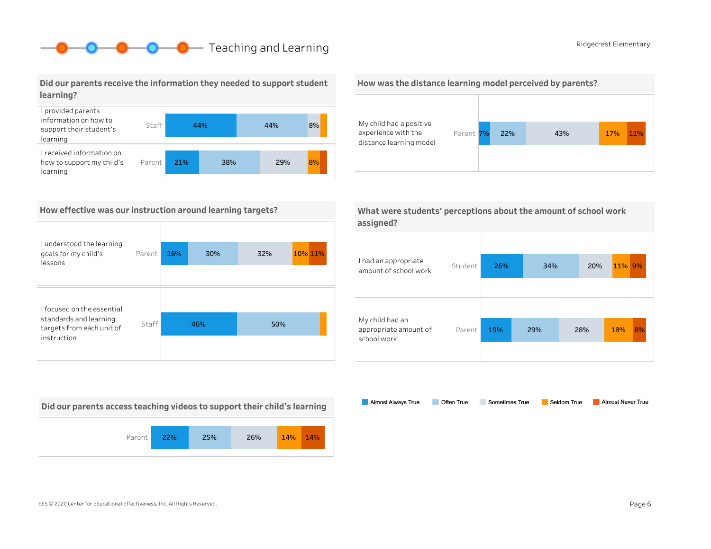# **O** Ridgecrest Elementary

#### Did our parents receive the information they needed to support student learning?



#### How effective was our instruction around learning targets?

| I understood the learning<br>goals for my child's<br>lessons                                     | Parent | 16% | 30% | 32% | 10% 11% |
|--------------------------------------------------------------------------------------------------|--------|-----|-----|-----|---------|
| I focused on the essential<br>standards and learning<br>targets from each unit of<br>instruction | Staff  |     | 46% | 50% |         |

Did our parents access teaching videos to support their child's learning







| What were students' perceptions about the amount of school work |  |
|-----------------------------------------------------------------|--|
| assigned?                                                       |  |

| I had an appropriate<br>amount of school work           | Student | 26% | 34% | 20% | 11% 9% |    |
|---------------------------------------------------------|---------|-----|-----|-----|--------|----|
| My child had an<br>appropriate amount of<br>school work | Parent  | 19% | 29% | 28% | 18%    | 8% |

Almost Always True Sometimes True Almost Never True Often True Seldom True

EES©2020CenterforEducationalEffectiveness,Inc.AllRightsReserved. Page6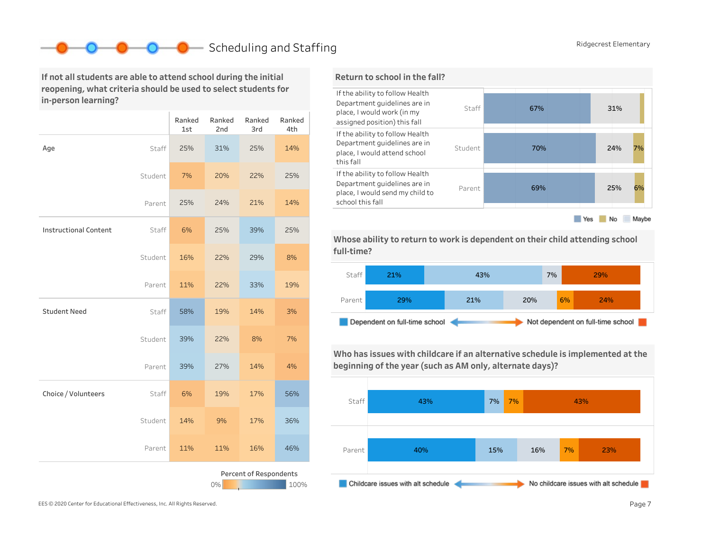# Scheduling and Staffing Ridgecrest Elementary

If not all students are able to attend school during the initial reopening, what criteria should be used to select students for in-person learning?

|                              |         | Ranked<br>1st | Ranked<br>2nd | Ranked<br>3rd          | Ranked<br>4th |
|------------------------------|---------|---------------|---------------|------------------------|---------------|
| Age                          | Staff   | 25%           | 31%           | 25%                    | 14%           |
|                              | Student | 7%            | 20%           | 22%                    | 25%           |
|                              | Parent  | 25%           | 24%           | 21%                    | 14%           |
| <b>Instructional Content</b> | Staff   | 6%            | 25%           | 39%                    | 25%           |
|                              | Student | 16%           | 22%           | 29%                    | 8%            |
|                              | Parent  | 11%           | 22%           | 33%                    | 19%           |
| <b>Student Need</b>          | Staff   | 58%           | 19%           | 14%                    | 3%            |
|                              | Student | 39%           | 22%           | 8%                     | 7%            |
|                              | Parent  | 39%           | 27%           | 14%                    | 4%            |
| Choice / Volunteers          | Staff   | 6%            | 19%           | 17%                    | 56%           |
|                              | Student | 14%           | 9%            | 17%                    | 36%           |
|                              | Parent  | 11%           | 11%           | 16%                    | 46%           |
|                              |         |               | 0%            | Percent of Respondents | 100%          |



Whose ability to return to work is dependent on their child attending school full-time?



Who has issues with childcare if an alternative schedule is implemented at the beginning of the year (such as AM only, alternate days)?

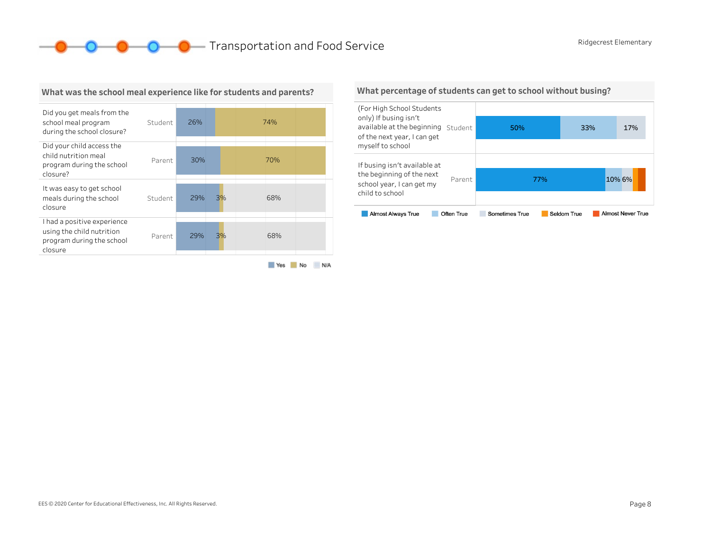**O O O** Transportation and Food Service Ridgecrest Elementary



What was the school meal experience like for students and parents?

#### Yes No N/A

What percentage of students can get to school without busing?

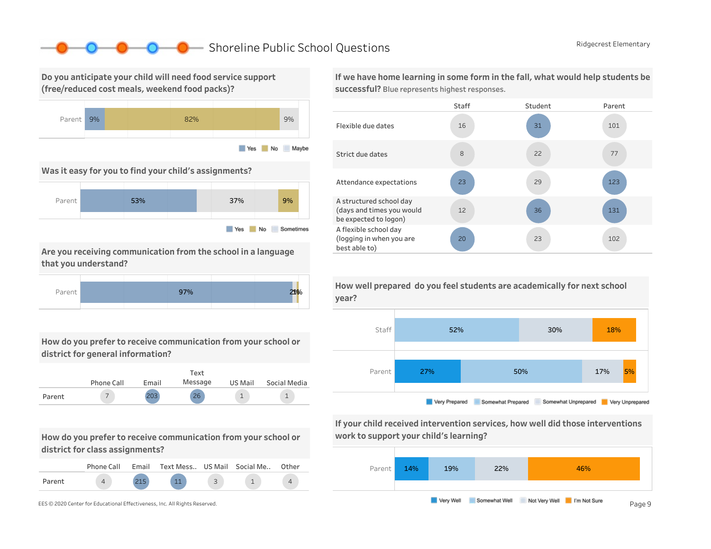### ■ Shoreline Public School Questions Ridgecrest Elementary

Do you anticipate your child will need food service support (free/reduced cost meals, weekend food packs)?



Was it easy for you to find your child's assignments?



Are you receiving communication from the school in a language that you understand?



How do you prefer to receive communication from your school or district for general information?



How do you prefer to receive communication from your school or district for class assignments?

|        | Phone Call | Email | Text Mess US Mail Social Me |  | Other |
|--------|------------|-------|-----------------------------|--|-------|
| Parent |            |       | 11                          |  |       |



If we have home learning in some form in the fall, what would help students be successful? Blue represents highest responses.





Very Prepared Somewhat Prepared Somewhat Unprepared Very Unprepared  $\overline{\mathbb{R}}$ 

If your child received intervention services, how well did those interventions work to support your child's learning?



How well prepared do you feel students are academically for next school year?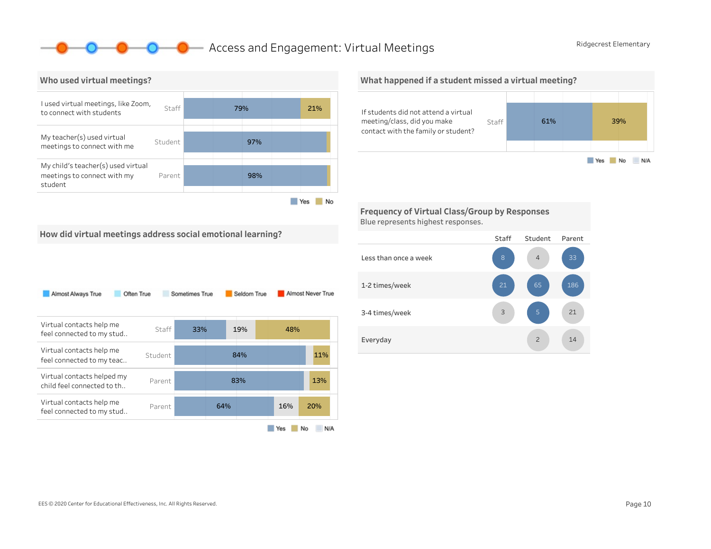### **O** Access and Engagement: Virtual Meetings Ridgecrest Elementary



What happened if a student missed a virtual meeting?



Frequency of Virtual Class/Group by Responses Blue represents highest responses.



| Often True<br>Almost Always True                         |         | Sometimes True | Seldom True |     | Almost Never True |
|----------------------------------------------------------|---------|----------------|-------------|-----|-------------------|
| Virtual contacts help me<br>feel connected to my stud    | Staff   | 33%            | 19%         | 48% |                   |
| Virtual contacts help me<br>feel connected to my teac    | Student |                | 84%         |     | 11%               |
| Virtual contacts helped my<br>child feel connected to th | Parent  |                | 83%         |     | 13%               |
| Virtual contacts help me<br>feel connected to my stud    | Parent  |                | 64%         | 16% | 20%               |
|                                                          |         |                |             | Yes | N/A<br>No         |

#### Staff Student Parent Lessthanonceaweek 1-2times/week 3-4 times/week Everyday 14 21 186 2 4 3 21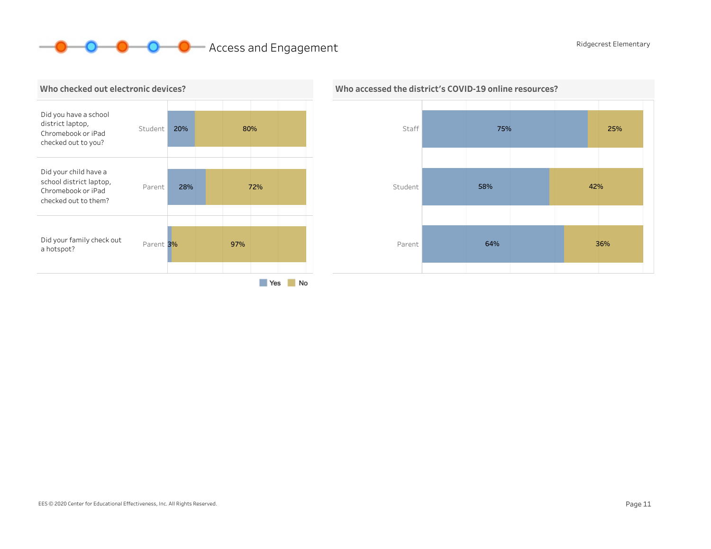# **O O** Access and Engagement Ridgecrest Elementary





### Who accessed the district's COVID-19 online resources?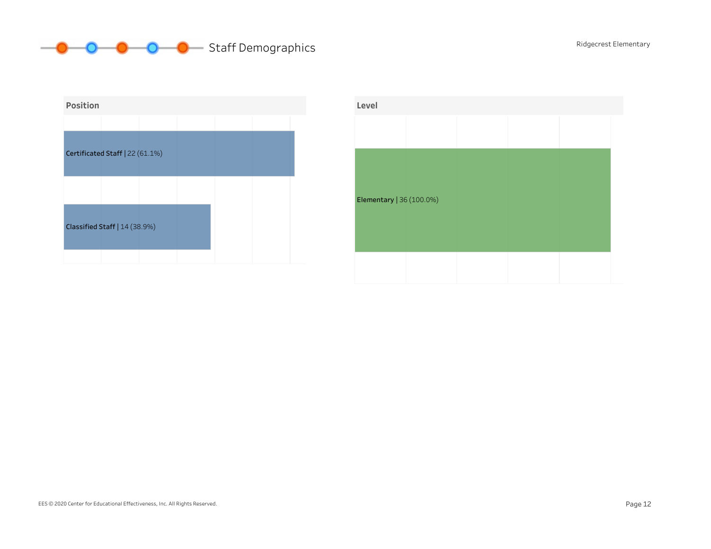# **O** O O Staff Demographics Ridgecrest Elementary



| Level                    |  |  |  |
|--------------------------|--|--|--|
|                          |  |  |  |
|                          |  |  |  |
|                          |  |  |  |
| Elementary   36 (100.0%) |  |  |  |
|                          |  |  |  |
|                          |  |  |  |
|                          |  |  |  |
|                          |  |  |  |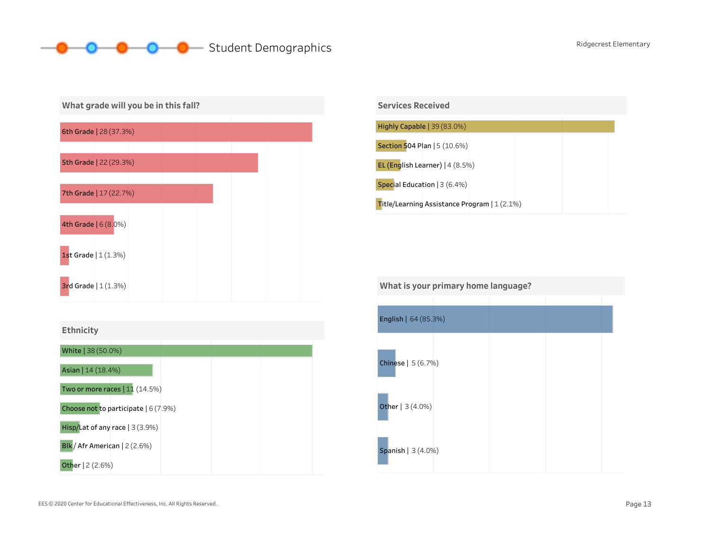# **O** Student Demographics Ridgecrest Elementary



| <b>Ethnicity</b> |  |  |  |  |
|------------------|--|--|--|--|
|------------------|--|--|--|--|





| What is your primary home language? |  |  |  |
|-------------------------------------|--|--|--|
|                                     |  |  |  |
| English   64 (85.3%)                |  |  |  |
| Chinese   5 (6.7%)                  |  |  |  |
| Other   3 (4.0%)                    |  |  |  |
| <b>Spanish</b>   $3(4.0%)$          |  |  |  |